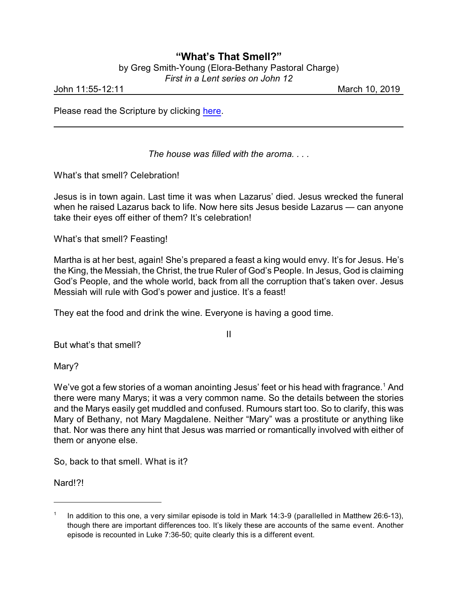## **"What's That Smell?"**

by Greg Smith-Young (Elora-Bethany Pastoral Charge)

*First in a Lent series on John 12*

John 11:55-12:11 March 10, 2019

Please read the Scripture by clicking [here](https://www.biblegateway.com/passage/?search=John+11%3A55-12%3A11&version=CEB).

*The house was filled with the aroma. . . .*

What's that smell? Celebration!

Jesus is in town again. Last time it was when Lazarus' died. Jesus wrecked the funeral when he raised Lazarus back to life. Now here sits Jesus beside Lazarus — can anyone take their eyes off either of them? It's celebration!

What's that smell? Feasting!

Martha is at her best, again! She's prepared a feast a king would envy. It's for Jesus. He's the King, the Messiah, the Christ, the true Ruler of God's People. In Jesus, God is claiming God's People, and the whole world, back from all the corruption that's taken over. Jesus Messiah will rule with God's power and justice. It's a feast!

They eat the food and drink the wine. Everyone is having a good time.

II

But what's that smell?

Mary?

We've got a few stories of a woman anointing Jesus' feet or his head with fragrance.<sup>1</sup> And there were many Marys; it was a very common name. So the details between the stories and the Marys easily get muddled and confused. Rumours start too. So to clarify, this was Mary of Bethany, not Mary Magdalene. Neither "Mary" was a prostitute or anything like that. Nor was there any hint that Jesus was married or romantically involved with either of them or anyone else.

So, back to that smell. What is it?

Nard!?!

<sup>1</sup> In addition to this one, a very similar episode is told in Mark 14:3-9 (parallelled in Matthew 26:6-13), though there are important differences too. It's likely these are accounts of the same event. Another episode is recounted in Luke 7:36-50; quite clearly this is a different event.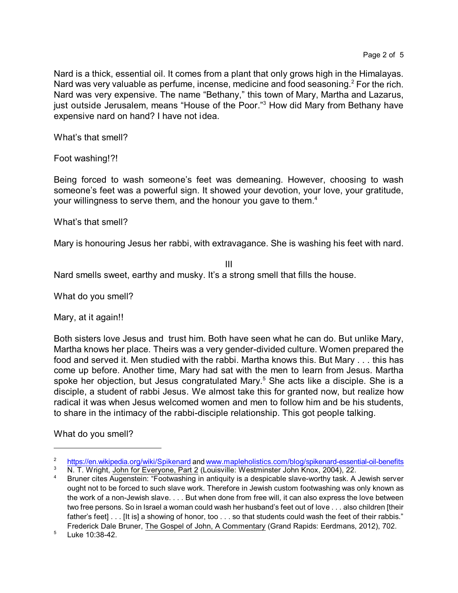Nard is a thick, essential oil. It comes from a plant that only grows high in the Himalayas. Nard was very valuable as perfume, incense, medicine and food seasoning.<sup>2</sup> For the rich. Nard was very expensive. The name "Bethany," this town of Mary, Martha and Lazarus, just outside Jerusalem, means "House of the Poor."<sup>3</sup> How did Mary from Bethany have expensive nard on hand? I have not idea.

What's that smell?

Foot washing!?!

Being forced to wash someone's feet was demeaning. However, choosing to wash someone's feet was a powerful sign. It showed your devotion, your love, your gratitude, your willingness to serve them, and the honour you gave to them. $^{\text{4}}$ 

What's that smell?

Mary is honouring Jesus her rabbi, with extravagance. She is washing his feet with nard.

III

Nard smells sweet, earthy and musky. It's a strong smell that fills the house.

What do you smell?

Mary, at it again!!

Both sisters love Jesus and trust him. Both have seen what he can do. But unlike Mary, Martha knows her place. Theirs was a very gender-divided culture. Women prepared the food and served it. Men studied with the rabbi. Martha knows this. But Mary . . . this has come up before. Another time, Mary had sat with the men to learn from Jesus. Martha spoke her objection, but Jesus congratulated Mary. <sup>5</sup> She acts like a disciple. She is a disciple, a student of rabbi Jesus. We almost take this for granted now, but realize how radical it was when Jesus welcomed women and men to follow him and be his students, to share in the intimacy of the rabbi-disciple relationship. This got people talking.

What do you smell?

 $5$  Luke 10:38-42.

<sup>&</sup>lt;sup>2</sup> <https://en.wikipedia.org/wiki/Spikenard> and [www.mapleholistics.com/blog/spikenard-essential-oil-benefits](https://www.mapleholistics.com/blog/spikenard-essential-oil-benefits/)<br><sup>3</sup> N. T. Wright, Jaka for Eugrupe - Dart 2 (Louis illa Westminster, Jaka Kaav, 2004), 22

<sup>3</sup> N. T. Wright, John for Everyone, Part 2 (Louisville: Westminster John Knox, 2004), 22.

<sup>4</sup> Bruner cites Augenstein: "Footwashing in antiquity is a despicable slave-worthy task. A Jewish server ought not to be forced to such slave work. Therefore in Jewish custom footwashing was only known as the work of a non-Jewish slave. . . . But when done from free will, it can also express the love between two free persons. So in Israel a woman could wash her husband's feet out of love . . . also children [their father's feet] . . . [It is] a showing of honor, too . . . so that students could wash the feet of their rabbis." Frederick Dale Bruner, The Gospel of John, A Commentary (Grand Rapids: Eerdmans, 2012), 702.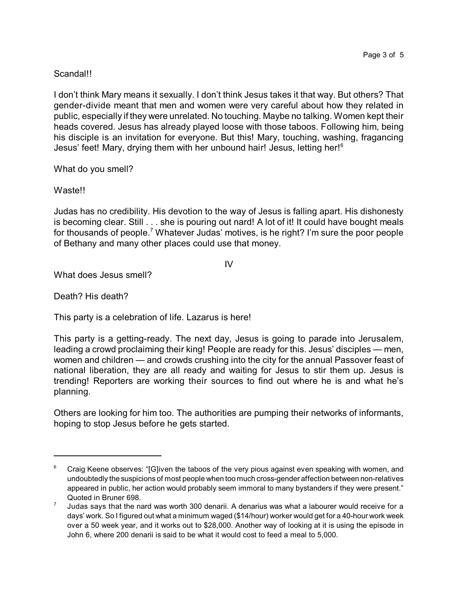I don't think Mary means it sexually. I don't think Jesus takes it that way. But others? That gender-divide meant that men and women were very careful about how they related in public, especially if they were unrelated. No touching. Maybe no talking. Women kept their heads covered. Jesus has already played loose with those taboos. Following him, being his disciple is an invitation for everyone. But this! Mary, touching, washing, fragancing

What do you smell?

Waste!!

Judas has no credibility. His devotion to the way of Jesus is falling apart. His dishonesty is becoming clear. Still . . . she is pouring out nard! A lot of it! It could have bought meals for thousands of people.<sup>7</sup> Whatever Judas' motives, is he right? I'm sure the poor people of Bethany and many other places could use that money.

Jesus' feet! Mary, drying them with her unbound hair! Jesus, letting her!<sup>6</sup>

IV

What does Jesus smell?

Death? His death?

This party is a celebration of life. Lazarus is here!

This party is a getting-ready. The next day, Jesus is going to parade into Jerusalem, leading a crowd proclaiming their king! People are ready for this. Jesus' disciples — men, women and children — and crowds crushing into the city for the annual Passover feast of national liberation, they are all ready and waiting for Jesus to stir them up. Jesus is trending! Reporters are working their sources to find out where he is and what he's planning.

Others are looking for him too. The authorities are pumping their networks of informants, hoping to stop Jesus before he gets started.

 $6$  Craig Keene observes: "[G]iven the taboos of the very pious against even speaking with women, and undoubtedly the suspicions of most people when too much cross-gender affection between non-relatives appeared in public, her action would probably seem immoral to many bystanders if they were present." Quoted in Bruner 698.

<sup>7</sup> Judas says that the nard was worth 300 denarii. A denarius was what a labourer would receive for a days' work. So I figured out what a minimum waged (\$14/hour) worker would get for a 40-hour work week over a 50 week year, and it works out to \$28,000. Another way of looking at it is using the episode in John 6, where 200 denarii is said to be what it would cost to feed a meal to 5,000.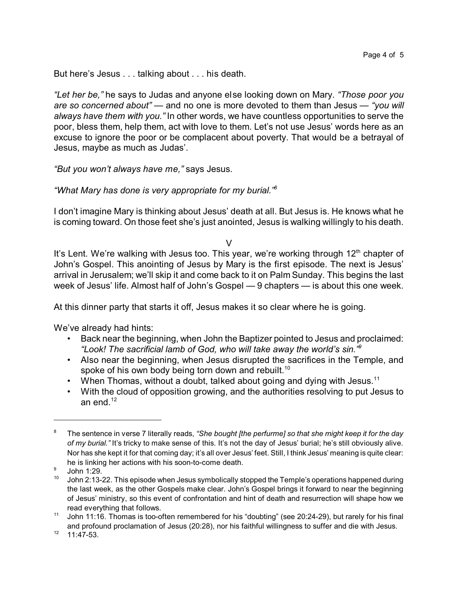But here's Jesus . . . talking about . . . his death.

*"Let her be,"* he says to Judas and anyone else looking down on Mary. *"Those poor you are so concerned about"* — and no one is more devoted to them than Jesus — *"you will always have them with you."* In other words, we have countless opportunities to serve the poor, bless them, help them, act with love to them. Let's not use Jesus' words here as an excuse to ignore the poor or be complacent about poverty. That would be a betrayal of Jesus, maybe as much as Judas'.

*"But you won't always have me,"* says Jesus.

*"What Mary has done is very appropriate for my burial."<sup>8</sup>*

I don't imagine Mary is thinking about Jesus' death at all. But Jesus is. He knows what he is coming toward. On those feet she's just anointed, Jesus is walking willingly to his death.

 $\vee$ 

It's Lent. We're walking with Jesus too. This year, we're working through  $12<sup>th</sup>$  chapter of John's Gospel. This anointing of Jesus by Mary is the first episode. The next is Jesus' arrival in Jerusalem; we'll skip it and come back to it on Palm Sunday. This begins the last week of Jesus' life. Almost half of John's Gospel — 9 chapters — is about this one week.

At this dinner party that starts it off, Jesus makes it so clear where he is going.

We've already had hints:

- Back near the beginning, when John the Baptizer pointed to Jesus and proclaimed: *"Look! The sacrificial lamb of God, who will take away the world's sin."<sup>9</sup>*
- Also near the beginning, when Jesus disrupted the sacrifices in the Temple, and spoke of his own body being torn down and rebuilt.<sup>10</sup>
- When Thomas, without a doubt, talked about going and dying with Jesus.<sup>11</sup>
- With the cloud of opposition growing, and the authorities resolving to put Jesus to an end. $12$

<sup>8</sup> The sentence in verse 7 literally reads, *"She bought [the perfurme] so that she might keep it for the day of my burial."* It's tricky to make sense of this. It's not the day of Jesus' burial; he's still obviously alive. Nor has she kept it for that coming day; it's all over Jesus' feet. Still, I think Jesus' meaning is quite clear: he is linking her actions with his soon-to-come death.

<sup>9</sup> John 1:29.

 $10$  John 2:13-22. This episode when Jesus symbolically stopped the Temple's operations happened during the last week, as the other Gospels make clear. John's Gospel brings it forward to near the beginning of Jesus' ministry, so this event of confrontation and hint of death and resurrection will shape how we read everything that follows.

<sup>11</sup> John 11:16. Thomas is too-often remembered for his "doubting" (see 20:24-29), but rarely for his final and profound proclamation of Jesus (20:28), nor his faithful willingness to suffer and die with Jesus.

 $12$  11:47-53.